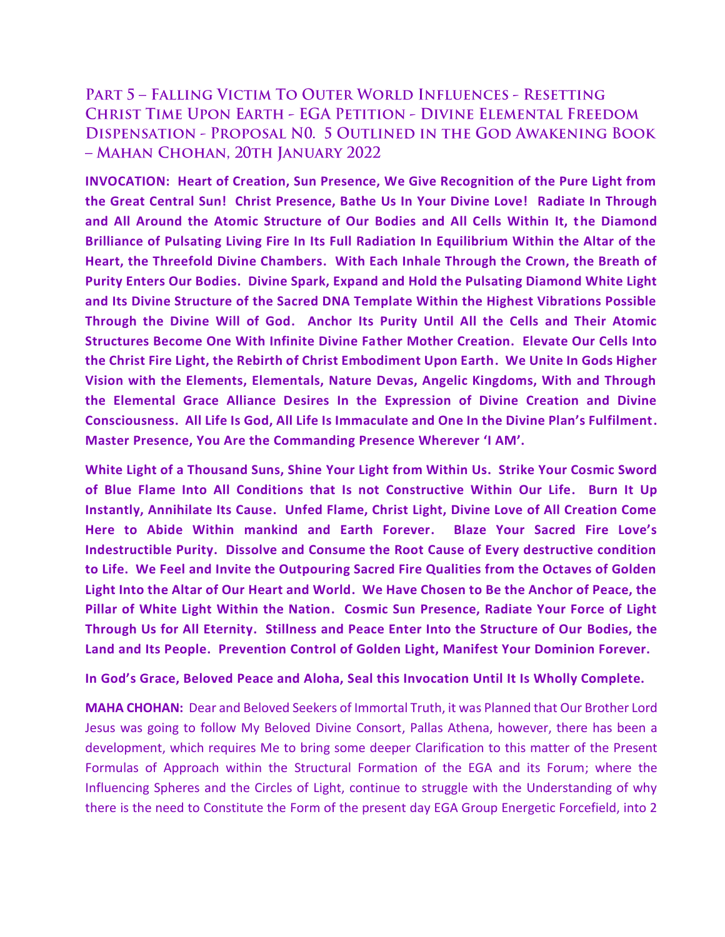## **PART 5 - FALLING VICTIM TO OUTER WORLD INFLUENCES - RESETTING CHRIST TIME UPON EARTH - EGA PETITION - DIVINE ELEMENTAL FREEDOM** DISPENSATION - PROPOSAL NO. 5 OUTLINED IN THE GOD AWAKENING BOOK - MAHAN CHOHAN, 20TH JANUARY 2022

**INVOCATION: Heart of Creation, Sun Presence, We Give Recognition of the Pure Light from the Great Central Sun! Christ Presence, Bathe Us In Your Divine Love! Radiate In Through and All Around the Atomic Structure of Our Bodies and All Cells Within It, the Diamond Brilliance of Pulsating Living Fire In Its Full Radiation In Equilibrium Within the Altar of the Heart, the Threefold Divine Chambers. With Each Inhale Through the Crown, the Breath of Purity Enters Our Bodies. Divine Spark, Expand and Hold the Pulsating Diamond White Light and Its Divine Structure of the Sacred DNA Template Within the Highest Vibrations Possible Through the Divine Will of God. Anchor Its Purity Until All the Cells and Their Atomic Structures Become One With Infinite Divine Father Mother Creation. Elevate Our Cells Into the Christ Fire Light, the Rebirth of Christ Embodiment Upon Earth. We Unite In Gods Higher Vision with the Elements, Elementals, Nature Devas, Angelic Kingdoms, With and Through the Elemental Grace Alliance Desires In the Expression of Divine Creation and Divine Consciousness. All Life Is God, All Life Is Immaculate and One In the Divine Plan's Fulfilment. Master Presence, You Are the Commanding Presence Wherever 'I AM'.**

**White Light of a Thousand Suns, Shine Your Light from Within Us. Strike Your Cosmic Sword of Blue Flame Into All Conditions that Is not Constructive Within Our Life. Burn It Up Instantly, Annihilate Its Cause. Unfed Flame, Christ Light, Divine Love of All Creation Come Here to Abide Within mankind and Earth Forever. Blaze Your Sacred Fire Love's Indestructible Purity. Dissolve and Consume the Root Cause of Every destructive condition to Life. We Feel and Invite the Outpouring Sacred Fire Qualities from the Octaves of Golden Light Into the Altar of Our Heart and World. We Have Chosen to Be the Anchor of Peace, the Pillar of White Light Within the Nation. Cosmic Sun Presence, Radiate Your Force of Light Through Us for All Eternity. Stillness and Peace Enter Into the Structure of Our Bodies, the Land and Its People. Prevention Control of Golden Light, Manifest Your Dominion Forever.**

## **In God's Grace, Beloved Peace and Aloha, Seal this Invocation Until It Is Wholly Complete.**

**MAHA CHOHAN:** Dear and Beloved Seekers of Immortal Truth, it was Planned that Our Brother Lord Jesus was going to follow My Beloved Divine Consort, Pallas Athena, however, there has been a development, which requires Me to bring some deeper Clarification to this matter of the Present Formulas of Approach within the Structural Formation of the EGA and its Forum; where the Influencing Spheres and the Circles of Light, continue to struggle with the Understanding of why there is the need to Constitute the Form of the present day EGA Group Energetic Forcefield, into 2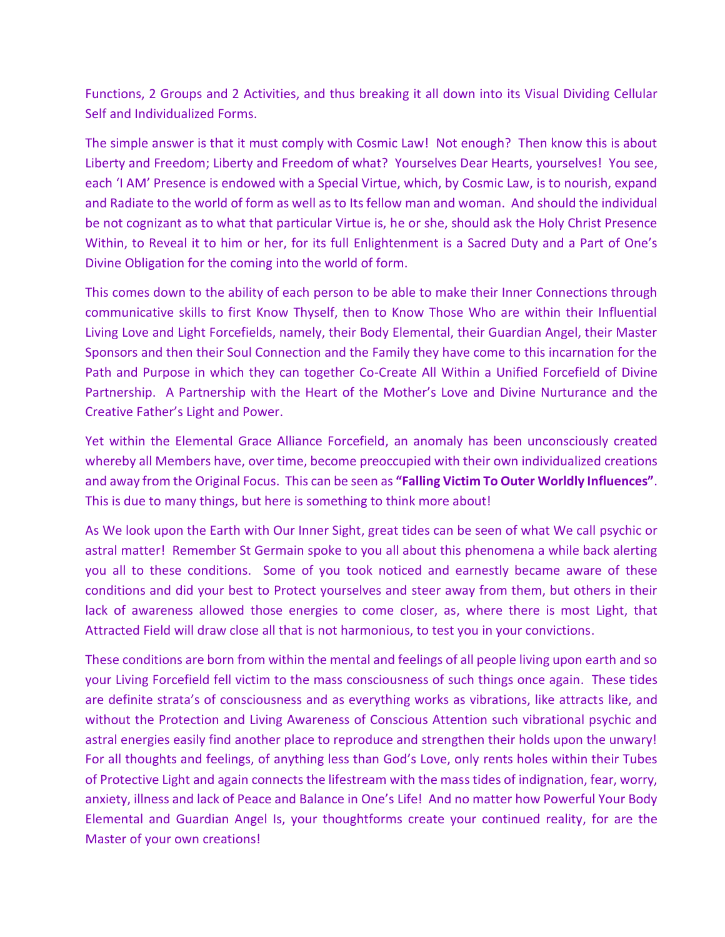Functions, 2 Groups and 2 Activities, and thus breaking it all down into its Visual Dividing Cellular Self and Individualized Forms.

The simple answer is that it must comply with Cosmic Law! Not enough? Then know this is about Liberty and Freedom; Liberty and Freedom of what? Yourselves Dear Hearts, yourselves! You see, each 'I AM' Presence is endowed with a Special Virtue, which, by Cosmic Law, is to nourish, expand and Radiate to the world of form as well as to Its fellow man and woman. And should the individual be not cognizant as to what that particular Virtue is, he or she, should ask the Holy Christ Presence Within, to Reveal it to him or her, for its full Enlightenment is a Sacred Duty and a Part of One's Divine Obligation for the coming into the world of form.

This comes down to the ability of each person to be able to make their Inner Connections through communicative skills to first Know Thyself, then to Know Those Who are within their Influential Living Love and Light Forcefields, namely, their Body Elemental, their Guardian Angel, their Master Sponsors and then their Soul Connection and the Family they have come to this incarnation for the Path and Purpose in which they can together Co-Create All Within a Unified Forcefield of Divine Partnership. A Partnership with the Heart of the Mother's Love and Divine Nurturance and the Creative Father's Light and Power.

Yet within the Elemental Grace Alliance Forcefield, an anomaly has been unconsciously created whereby all Members have, over time, become preoccupied with their own individualized creations and away from the Original Focus. This can be seen as **"Falling Victim To Outer Worldly Influences"**. This is due to many things, but here is something to think more about!

As We look upon the Earth with Our Inner Sight, great tides can be seen of what We call psychic or astral matter! Remember St Germain spoke to you all about this phenomena a while back alerting you all to these conditions. Some of you took noticed and earnestly became aware of these conditions and did your best to Protect yourselves and steer away from them, but others in their lack of awareness allowed those energies to come closer, as, where there is most Light, that Attracted Field will draw close all that is not harmonious, to test you in your convictions.

These conditions are born from within the mental and feelings of all people living upon earth and so your Living Forcefield fell victim to the mass consciousness of such things once again. These tides are definite strata's of consciousness and as everything works as vibrations, like attracts like, and without the Protection and Living Awareness of Conscious Attention such vibrational psychic and astral energies easily find another place to reproduce and strengthen their holds upon the unwary! For all thoughts and feelings, of anything less than God's Love, only rents holes within their Tubes of Protective Light and again connects the lifestream with the mass tides of indignation, fear, worry, anxiety, illness and lack of Peace and Balance in One's Life! And no matter how Powerful Your Body Elemental and Guardian Angel Is, your thoughtforms create your continued reality, for are the Master of your own creations!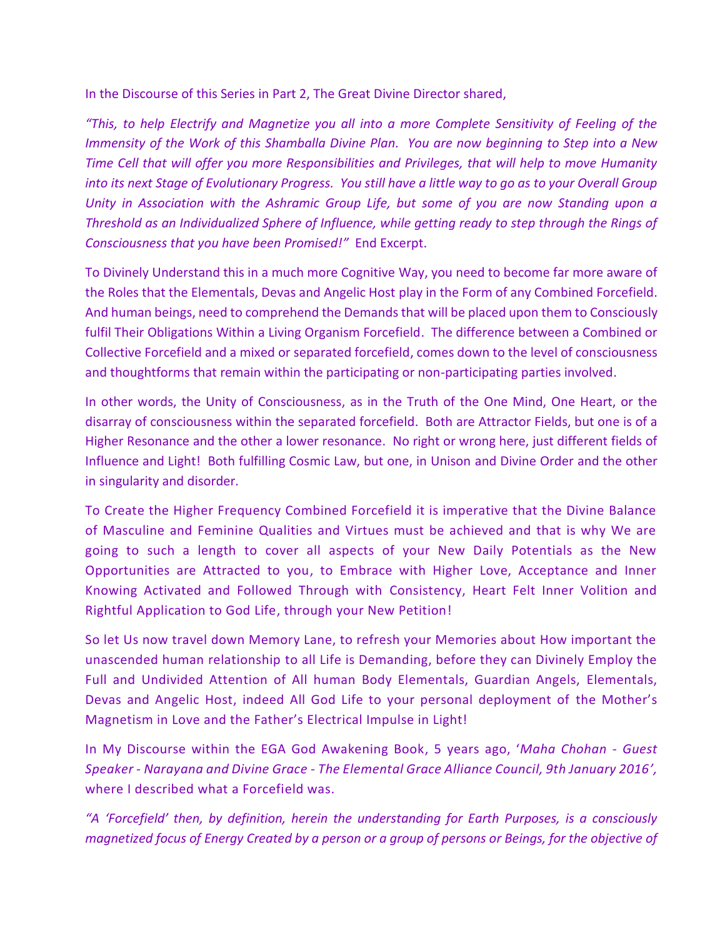In the Discourse of this Series in Part 2, The Great Divine Director shared,

*"This, to help Electrify and Magnetize you all into a more Complete Sensitivity of Feeling of the Immensity of the Work of this Shamballa Divine Plan. You are now beginning to Step into a New Time Cell that will offer you more Responsibilities and Privileges, that will help to move Humanity into its next Stage of Evolutionary Progress. You still have a little way to go as to your Overall Group Unity in Association with the Ashramic Group Life, but some of you are now Standing upon a Threshold as an Individualized Sphere of Influence, while getting ready to step through the Rings of Consciousness that you have been Promised!"* End Excerpt.

To Divinely Understand this in a much more Cognitive Way, you need to become far more aware of the Roles that the Elementals, Devas and Angelic Host play in the Form of any Combined Forcefield. And human beings, need to comprehend the Demands that will be placed upon them to Consciously fulfil Their Obligations Within a Living Organism Forcefield. The difference between a Combined or Collective Forcefield and a mixed or separated forcefield, comes down to the level of consciousness and thoughtforms that remain within the participating or non-participating parties involved.

In other words, the Unity of Consciousness, as in the Truth of the One Mind, One Heart, or the disarray of consciousness within the separated forcefield. Both are Attractor Fields, but one is of a Higher Resonance and the other a lower resonance. No right or wrong here, just different fields of Influence and Light! Both fulfilling Cosmic Law, but one, in Unison and Divine Order and the other in singularity and disorder.

To Create the Higher Frequency Combined Forcefield it is imperative that the Divine Balance of Masculine and Feminine Qualities and Virtues must be achieved and that is why We are going to such a length to cover all aspects of your New Daily Potentials as the New Opportunities are Attracted to you, to Embrace with Higher Love, Acceptance and Inner Knowing Activated and Followed Through with Consistency, Heart Felt Inner Volition and Rightful Application to God Life, through your New Petition!

So let Us now travel down Memory Lane, to refresh your Memories about How important the unascended human relationship to all Life is Demanding, before they can Divinely Employ the Full and Undivided Attention of All human Body Elementals, Guardian Angels, Elementals, Devas and Angelic Host, indeed All God Life to your personal deployment of the Mother's Magnetism in Love and the Father's Electrical Impulse in Light!

In My Discourse within the EGA God Awakening Book, 5 years ago, '*Maha Chohan - Guest Speaker - Narayana and Divine Grace - The Elemental Grace Alliance Council, 9th January 2016',* where I described what a Forcefield was.

*"A 'Forcefield' then, by definition, herein the understanding for Earth Purposes, is a consciously magnetized focus of Energy Created by a person or a group of persons or Beings, for the objective of*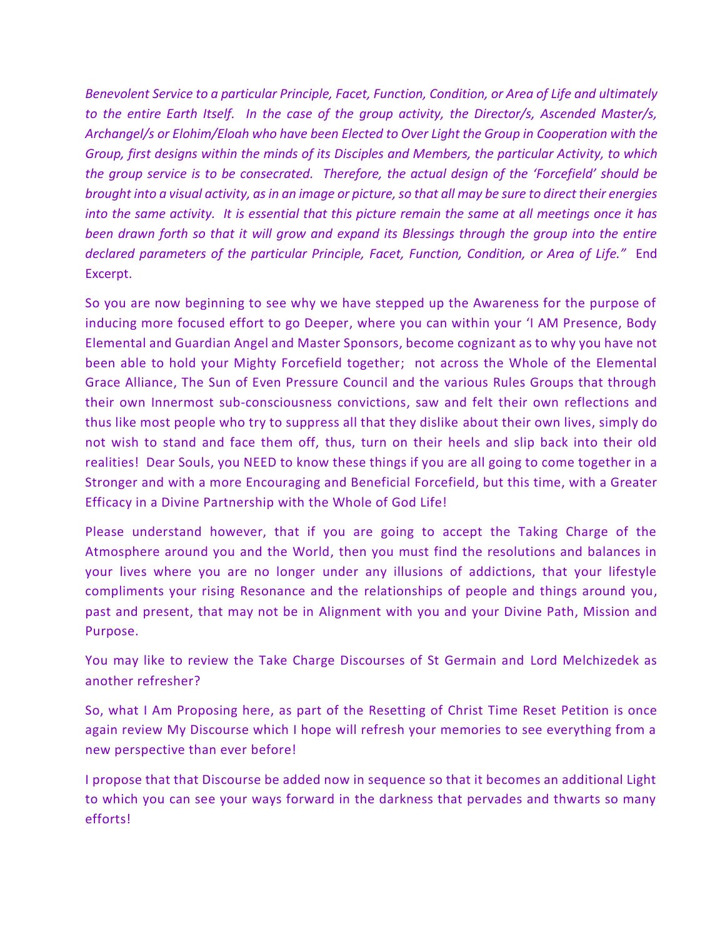*Benevolent Service to a particular Principle, Facet, Function, Condition, or Area of Life and ultimately to the entire Earth Itself. In the case of the group activity, the Director/s, Ascended Master/s, Archangel/s or Elohim/Eloah who have been Elected to Over Light the Group in Cooperation with the Group, first designs within the minds of its Disciples and Members, the particular Activity, to which the group service is to be consecrated. Therefore, the actual design of the 'Forcefield' should be brought into a visual activity, as in an image or picture, so that all may be sure to direct their energies into the same activity. It is essential that this picture remain the same at all meetings once it has been drawn forth so that it will grow and expand its Blessings through the group into the entire declared parameters of the particular Principle, Facet, Function, Condition, or Area of Life."* End Excerpt.

So you are now beginning to see why we have stepped up the Awareness for the purpose of inducing more focused effort to go Deeper, where you can within your 'I AM Presence, Body Elemental and Guardian Angel and Master Sponsors, become cognizant as to why you have not been able to hold your Mighty Forcefield together; not across the Whole of the Elemental Grace Alliance, The Sun of Even Pressure Council and the various Rules Groups that through their own Innermost sub-consciousness convictions, saw and felt their own reflections and thus like most people who try to suppress all that they dislike about their own lives, simply do not wish to stand and face them off, thus, turn on their heels and slip back into their old realities! Dear Souls, you NEED to know these things if you are all going to come together in a Stronger and with a more Encouraging and Beneficial Forcefield, but this time, with a Greater Efficacy in a Divine Partnership with the Whole of God Life!

Please understand however, that if you are going to accept the Taking Charge of the Atmosphere around you and the World, then you must find the resolutions and balances in your lives where you are no longer under any illusions of addictions, that your lifestyle compliments your rising Resonance and the relationships of people and things around you, past and present, that may not be in Alignment with you and your Divine Path, Mission and Purpose.

You may like to review the Take Charge Discourses of St Germain and Lord Melchizedek as another refresher?

So, what I Am Proposing here, as part of the Resetting of Christ Time Reset Petition is once again review My Discourse which I hope will refresh your memories to see everything from a new perspective than ever before!

I propose that that Discourse be added now in sequence so that it becomes an additional Light to which you can see your ways forward in the darkness that pervades and thwarts so many efforts!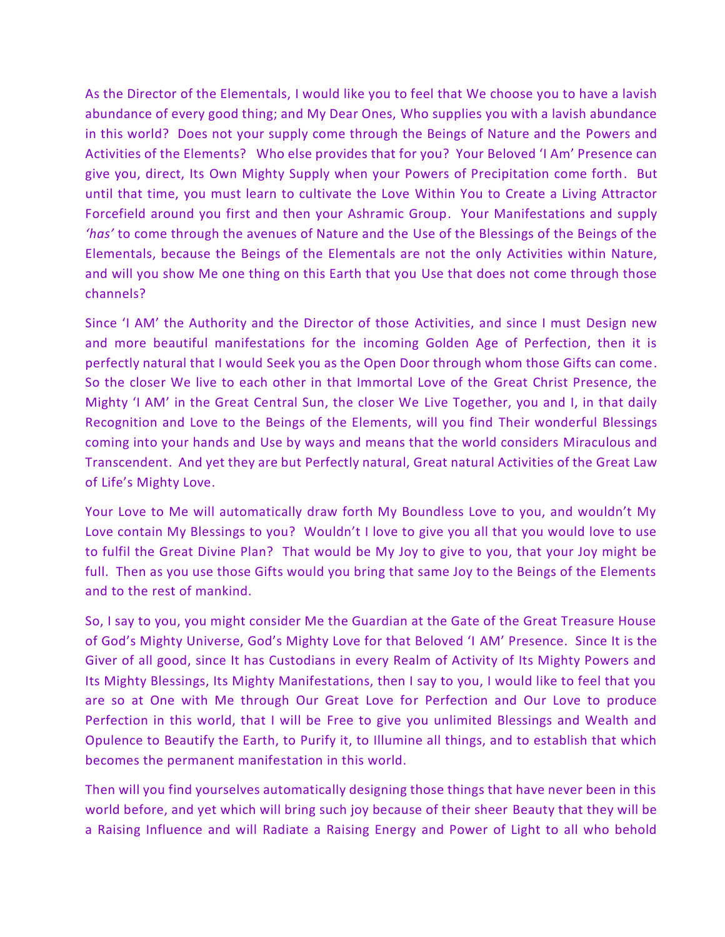As the Director of the Elementals, I would like you to feel that We choose you to have a lavish abundance of every good thing; and My Dear Ones, Who supplies you with a lavish abundance in this world? Does not your supply come through the Beings of Nature and the Powers and Activities of the Elements? Who else provides that for you? Your Beloved 'I Am' Presence can give you, direct, Its Own Mighty Supply when your Powers of Precipitation come forth. But until that time, you must learn to cultivate the Love Within You to Create a Living Attractor Forcefield around you first and then your Ashramic Group. Your Manifestations and supply *'has'* to come through the avenues of Nature and the Use of the Blessings of the Beings of the Elementals, because the Beings of the Elementals are not the only Activities within Nature, and will you show Me one thing on this Earth that you Use that does not come through those channels?

Since 'I AM' the Authority and the Director of those Activities, and since I must Design new and more beautiful manifestations for the incoming Golden Age of Perfection, then it is perfectly natural that I would Seek you as the Open Door through whom those Gifts can come. So the closer We live to each other in that Immortal Love of the Great Christ Presence, the Mighty 'I AM' in the Great Central Sun, the closer We Live Together, you and I, in that daily Recognition and Love to the Beings of the Elements, will you find Their wonderful Blessings coming into your hands and Use by ways and means that the world considers Miraculous and Transcendent. And yet they are but Perfectly natural, Great natural Activities of the Great Law of Life's Mighty Love.

Your Love to Me will automatically draw forth My Boundless Love to you, and wouldn't My Love contain My Blessings to you? Wouldn't I love to give you all that you would love to use to fulfil the Great Divine Plan? That would be My Joy to give to you, that your Joy might be full. Then as you use those Gifts would you bring that same Joy to the Beings of the Elements and to the rest of mankind.

So, I say to you, you might consider Me the Guardian at the Gate of the Great Treasure House of God's Mighty Universe, God's Mighty Love for that Beloved 'I AM' Presence. Since It is the Giver of all good, since It has Custodians in every Realm of Activity of Its Mighty Powers and Its Mighty Blessings, Its Mighty Manifestations, then I say to you, I would like to feel that you are so at One with Me through Our Great Love for Perfection and Our Love to produce Perfection in this world, that I will be Free to give you unlimited Blessings and Wealth and Opulence to Beautify the Earth, to Purify it, to Illumine all things, and to establish that which becomes the permanent manifestation in this world.

Then will you find yourselves automatically designing those things that have never been in this world before, and yet which will bring such joy because of their sheer Beauty that they will be a Raising Influence and will Radiate a Raising Energy and Power of Light to all who behold